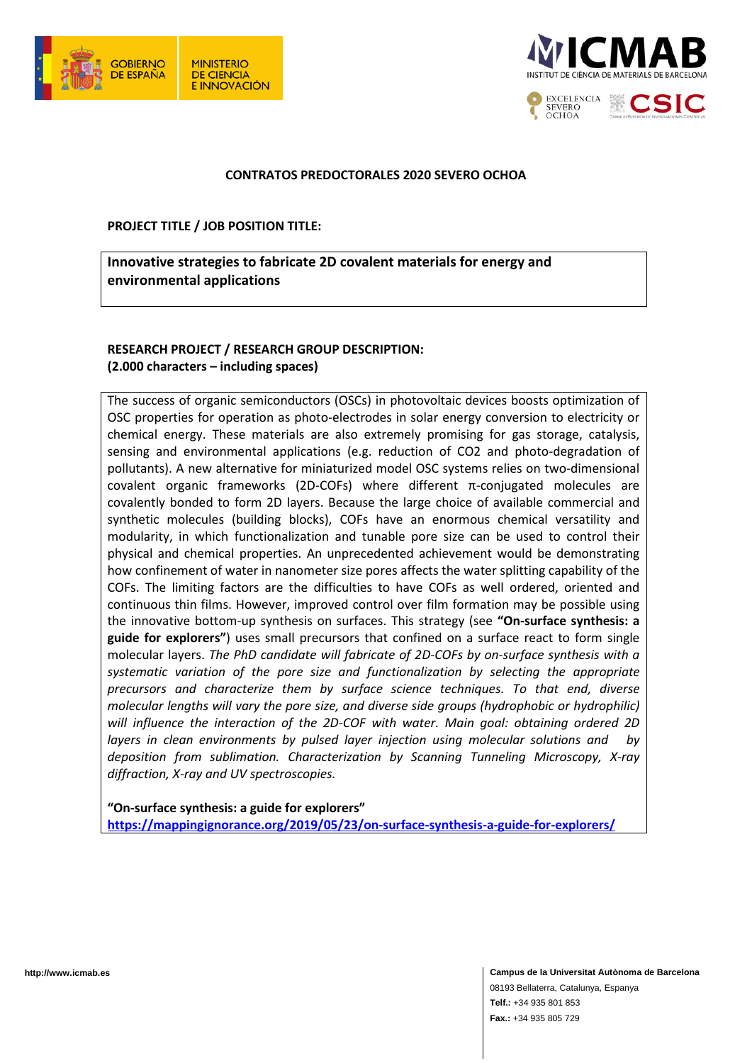



### **CONTRATOS PREDOCTORALES 2020 SEVERO OCHOA**

#### **PROJECT TITLE / JOB POSITION TITLE:**

**Innovative strategies to fabricate 2D covalent materials for energy and environmental applications**

# **RESEARCH PROJECT / RESEARCH GROUP DESCRIPTION: (2.000 characters – including spaces)**

The success of organic semiconductors (OSCs) in photovoltaic devices boosts optimization of OSC properties for operation as photo-electrodes in solar energy conversion to electricity or chemical energy. These materials are also extremely promising for gas storage, catalysis, sensing and environmental applications (e.g. reduction of CO2 and photo-degradation of pollutants). A new alternative for miniaturized model OSC systems relies on two-dimensional covalent organic frameworks (2D-COFs) where different π-conjugated molecules are covalently bonded to form 2D layers. Because the large choice of available commercial and synthetic molecules (building blocks), COFs have an enormous chemical versatility and modularity, in which functionalization and tunable pore size can be used to control their physical and chemical properties. An unprecedented achievement would be demonstrating how confinement of water in nanometer size pores affects the water splitting capability of the COFs. The limiting factors are the difficulties to have COFs as well ordered, oriented and continuous thin films. However, improved control over film formation may be possible using the innovative bottom-up synthesis on surfaces. This strategy (see **"On-surface synthesis: a guide for explorers"**) uses small precursors that confined on a surface react to form single molecular layers. *The PhD candidate will fabricate of 2D-COFs by on-surface synthesis with a systematic variation of the pore size and functionalization by selecting the appropriate precursors and characterize them by surface science techniques. To that end, diverse molecular lengths will vary the pore size, and diverse side groups (hydrophobic or hydrophilic) will influence the interaction of the 2D-COF with water. Main goal: obtaining ordered 2D layers in clean environments by pulsed layer injection using molecular solutions and by deposition from sublimation. Characterization by Scanning Tunneling Microscopy, X-ray diffraction, X-ray and UV spectroscopies.*

**"On-surface synthesis: a guide for explorers" <https://mappingignorance.org/2019/05/23/on-surface-synthesis-a-guide-for-explorers/>**